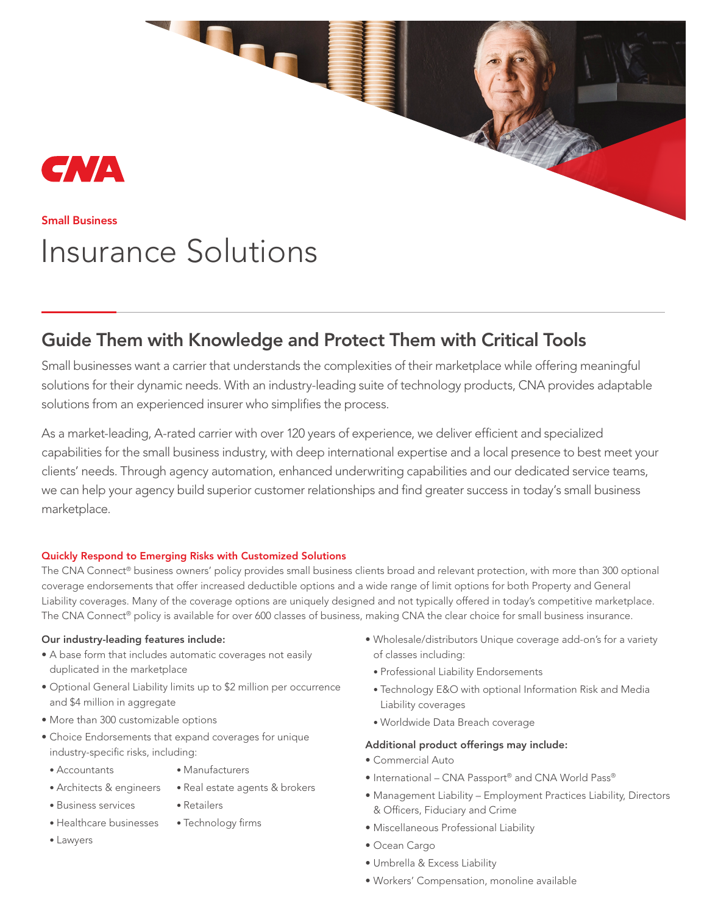## CNA

#### Small Business

# Insurance Solutions

### Guide Them with Knowledge and Protect Them with Critical Tools

Small businesses want a carrier that understands the complexities of their marketplace while offering meaningful solutions for their dynamic needs. With an industry-leading suite of technology products, CNA provides adaptable solutions from an experienced insurer who simplifies the process.

As a market-leading, A-rated carrier with over 120 years of experience, we deliver efficient and specialized capabilities for the small business industry, with deep international expertise and a local presence to best meet your clients' needs. Through agency automation, enhanced underwriting capabilities and our dedicated service teams, we can help your agency build superior customer relationships and find greater success in today's small business marketplace.

#### Quickly Respond to Emerging Risks with Customized Solutions

The CNA Connect® business owners' policy provides small business clients broad and relevant protection, with more than 300 optional coverage endorsements that offer increased deductible options and a wide range of limit options for both Property and General Liability coverages. Many of the coverage options are uniquely designed and not typically offered in today's competitive marketplace. The CNA Connect® policy is available for over 600 classes of business, making CNA the clear choice for small business insurance.

#### Our industry-leading features include:

- A base form that includes automatic coverages not easily duplicated in the marketplace
- Optional General Liability limits up to \$2 million per occurrence and \$4 million in aggregate
- More than 300 customizable options
- Choice Endorsements that expand coverages for unique industry-specific risks, including:
	- Accountants
- Manufacturers

• Real estate agents & brokers

• Architects & engineers

• Business services

- Retailers
- Healthcare businesses • Technology firms
- Lawyers
- Wholesale/distributors Unique coverage add-on's for a variety of classes including:
	- Professional Liability Endorsements
- Technology E&O with optional Information Risk and Media Liability coverages
- Worldwide Data Breach coverage

#### Additional product offerings may include:

- Commercial Auto
- International CNA Passport® and CNA World Pass®
- Management Liability Employment Practices Liability, Directors & Officers, Fiduciary and Crime
- Miscellaneous Professional Liability
- Ocean Cargo
- Umbrella & Excess Liability
- Workers' Compensation, monoline available